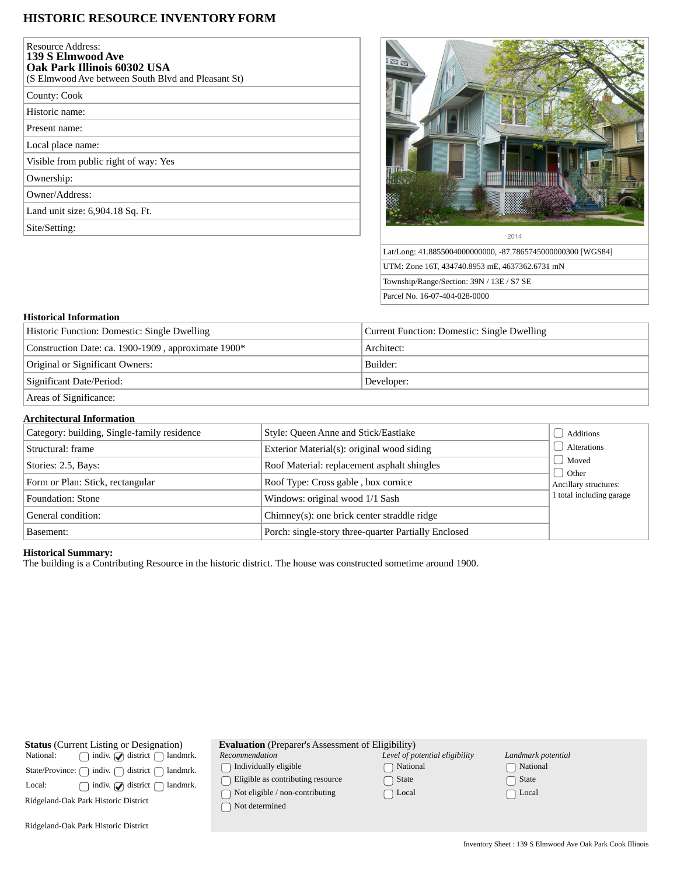# **HISTORIC RESOURCE INVENTORY FORM**

| Resource Address:<br><b>139 S Elmwood Ave</b><br><b>Oak Park Illinois 60302 USA</b><br>(S Elmwood Ave between South Blvd and Pleasant St) |
|-------------------------------------------------------------------------------------------------------------------------------------------|
| County: Cook                                                                                                                              |
| Historic name:                                                                                                                            |
| Present name:                                                                                                                             |
| Local place name:                                                                                                                         |
| Visible from public right of way: Yes                                                                                                     |
| Ownership:                                                                                                                                |
| Owner/Address:                                                                                                                            |
| Land unit size: 6,904.18 Sq. Ft.                                                                                                          |
| Site/Setting:                                                                                                                             |
|                                                                                                                                           |



Lat/Long: 41.8855004000000000, -87.7865745000000300 [WGS84] UTM: Zone 16T, 434740.8953 mE, 4637362.6731 mN Township/Range/Section: 39N / 13E / S7 SE Parcel No. 16-07-404-028-0000

### **Historical Information**

| Historic Function: Domestic: Single Dwelling        | Current Function: Domestic: Single Dwelling |  |
|-----------------------------------------------------|---------------------------------------------|--|
| Construction Date: ca. 1900-1909, approximate 1900* | Architect:                                  |  |
| Original or Significant Owners:                     | Builder:                                    |  |
| Significant Date/Period:                            | Developer:                                  |  |
| Areas of Significance:                              |                                             |  |

### **Architectural Information**

| Category: building, Single-family residence | Style: Queen Anne and Stick/Eastlake                 | Additions                      |
|---------------------------------------------|------------------------------------------------------|--------------------------------|
| Structural: frame                           | Exterior Material(s): original wood siding           | Alterations                    |
| Stories: 2.5, Bays:                         | Roof Material: replacement asphalt shingles          | Moved                          |
| Form or Plan: Stick, rectangular            | Roof Type: Cross gable, box cornice                  | Other<br>Ancillary structures: |
| Foundation: Stone                           | Windows: original wood 1/1 Sash                      | 1 total including garage       |
| General condition:                          | Chimney(s): one brick center straddle ridge          |                                |
| Basement:                                   | Porch: single-story three-quarter Partially Enclosed |                                |

## **Historical Summary:**

The building is a Contributing Resource in the historic district. The house was constructed sometime around 1900.

| <b>Status</b> (Current Listing or Designation)                       | <b>Evaluation</b> (Preparer's Assessment of Eligibility)              |                                |                    |  |
|----------------------------------------------------------------------|-----------------------------------------------------------------------|--------------------------------|--------------------|--|
| $\mid$ indiv. $\bigcirc$ district $\bigcap$<br>National:<br>landmrk. | Recommendation                                                        | Level of potential eligibility | Landmark potential |  |
| State/Province: $\bigcap$ indiv. $\bigcap$<br>district f<br>landmrk. | Individually eligible                                                 | National                       | National           |  |
| $\mid$ indiv. $\bigcirc$ district $\mid$<br>Local:<br>landmrk.       | Eligible as contributing resource                                     | State                          | State              |  |
| Ridgeland-Oak Park Historic District                                 | $\bigcap$ Not eligible / non-contributing<br>$\supset$ Not determined | Local                          | Local              |  |
| Ridgeland-Oak Park Historic District                                 |                                                                       |                                |                    |  |